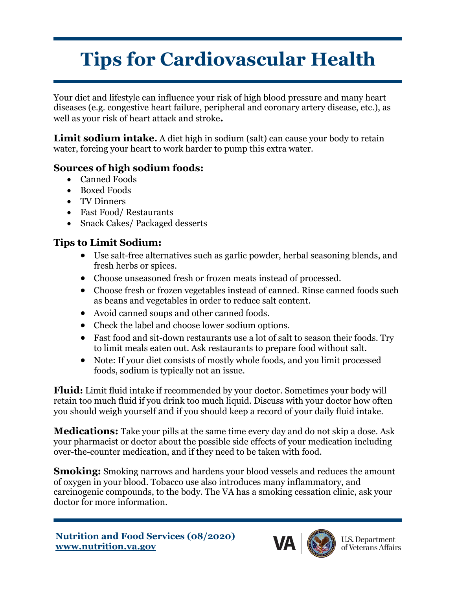## **Tips for Cardiovascular Health**

Your diet and lifestyle can influence your risk of high blood pressure and many heart diseases (e.g. congestive heart failure, peripheral and coronary artery disease, etc.), as well as your risk of heart attack and stroke**.**

**Limit sodium intake.** A diet high in sodium (salt) can cause your body to retain water, forcing your heart to work harder to pump this extra water.

## **Sources of high sodium foods:**

- Canned Foods
- Boxed Foods
- TV Dinners
- Fast Food/ Restaurants
- Snack Cakes/ Packaged desserts

## **Tips to Limit Sodium:**

- Use salt-free alternatives such as garlic powder, herbal seasoning blends, and fresh herbs or spices.
- Choose unseasoned fresh or frozen meats instead of processed.
- Choose fresh or frozen vegetables instead of canned. Rinse canned foods such as beans and vegetables in order to reduce salt content.
- Avoid canned soups and other canned foods.
- Check the label and choose lower sodium options.
- Fast food and sit-down restaurants use a lot of salt to season their foods. Try to limit meals eaten out. Ask restaurants to prepare food without salt.
- Note: If your diet consists of mostly whole foods, and you limit processed foods, sodium is typically not an issue.

**Fluid:** Limit fluid intake if recommended by your doctor. Sometimes your body will retain too much fluid if you drink too much liquid. Discuss with your doctor how often you should weigh yourself and if you should keep a record of your daily fluid intake.

**Medications:** Take your pills at the same time every day and do not skip a dose. Ask your pharmacist or doctor about the possible side effects of your medication including over-the-counter medication, and if they need to be taken with food.

**Smoking:** Smoking narrows and hardens your blood vessels and reduces the amount of oxygen in your blood. Tobacco use also introduces many inflammatory, and carcinogenic compounds, to the body. The VA has a smoking cessation clinic, ask your doctor for more information.



**U.S. Department** of Veterans Affairs